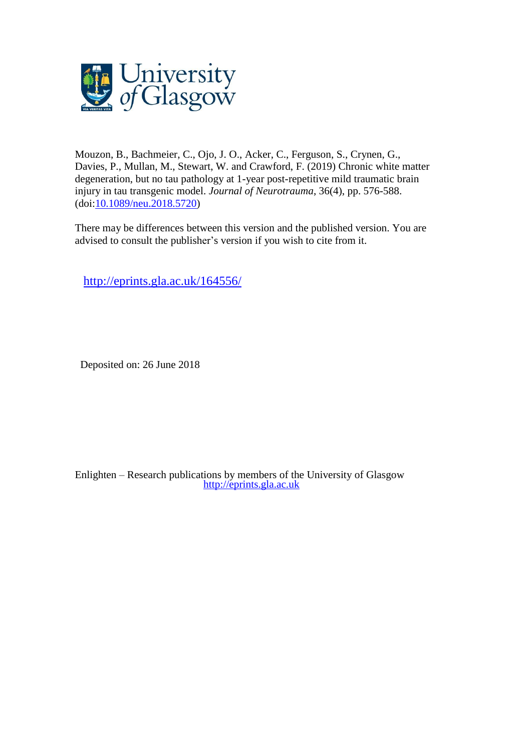

Mouzon, B., Bachmeier, C., Ojo, J. O., Acker, C., Ferguson, S., Crynen, G., Davies, P., Mullan, M., Stewart, W. and Crawford, F. (2019) Chronic white matter degeneration, but no tau pathology at 1-year post-repetitive mild traumatic brain injury in tau transgenic model. *Journal of Neurotrauma*, 36(4), pp. 576-588. (doi[:10.1089/neu.2018.5720\)](http://dx.doi.org/10.1089/neu.2018.5720)

There may be differences between this version and the published version. You are advised to consult the publisher's version if you wish to cite from it.

<http://eprints.gla.ac.uk/164556/>

Deposited on: 26 June 2018

Enlighten – Research publications by members of the University of Glasgow [http://eprints.gla.ac.uk](http://eprints.gla.ac.uk/)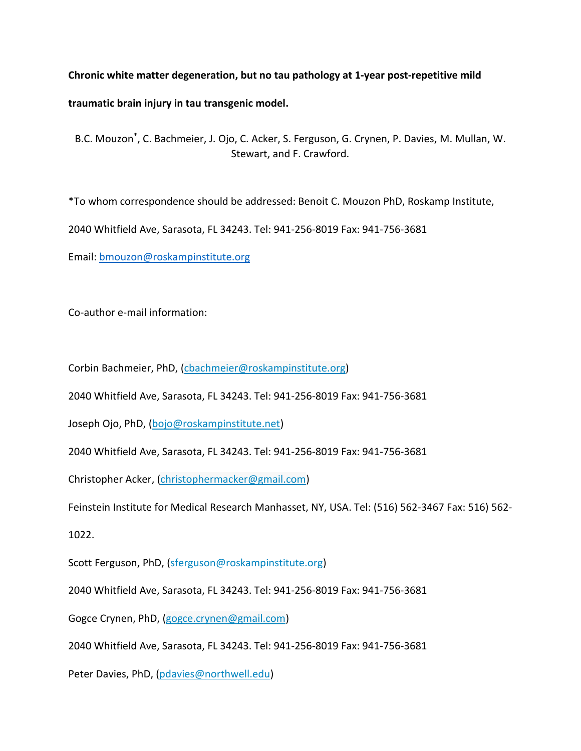**Chronic white matter degeneration, but no tau pathology at 1-year post-repetitive mild** 

**traumatic brain injury in tau transgenic model.**

B.C. Mouzon\* , C. Bachmeier, J. Ojo, C. Acker, S. Ferguson, G. Crynen, P. Davies, M. Mullan, W. Stewart, and F. Crawford.

\*To whom correspondence should be addressed: Benoit C. Mouzon PhD, Roskamp Institute,

2040 Whitfield Ave, Sarasota, FL 34243. Tel: 941-256-8019 Fax: 941-756-3681

Email: [bmouzon@roskampinstitute.org](mailto:bmouzon@roskampinstitute.org)

Co-author e-mail information:

Corbin Bachmeier, PhD, [\(cbachmeier@roskampinstitute.org\)](mailto:cbachmeier@roskampinstitute.org)

2040 Whitfield Ave, Sarasota, FL 34243. Tel: 941-256-8019 Fax: 941-756-3681

Joseph Ojo, PhD, [\(bojo@roskampinstitute.net\)](mailto:bojo@roskampinstitute.net)

2040 Whitfield Ave, Sarasota, FL 34243. Tel: 941-256-8019 Fax: 941-756-3681

Christopher Acker, [\(christophermacker@gmail.com\)](mailto:christophermacker@gmail.com)

Feinstein Institute for Medical Research Manhasset, NY, USA. Tel: (516) 562-3467 Fax: 516) 562-

1022.

Scott Ferguson, PhD, [\(sferguson@roskampinstitute.org\)](mailto:sferguson@roskampinstitute.org)

2040 Whitfield Ave, Sarasota, FL 34243. Tel: 941-256-8019 Fax: 941-756-3681

Gogce Crynen, PhD, [\(gogce.crynen@gmail.com\)](mailto:gogce.crynen@gmail.com)

2040 Whitfield Ave, Sarasota, FL 34243. Tel: 941-256-8019 Fax: 941-756-3681

Peter Davies, PhD, [\(pdavies@northwell.edu\)](mailto:pdavies@northwell.edu)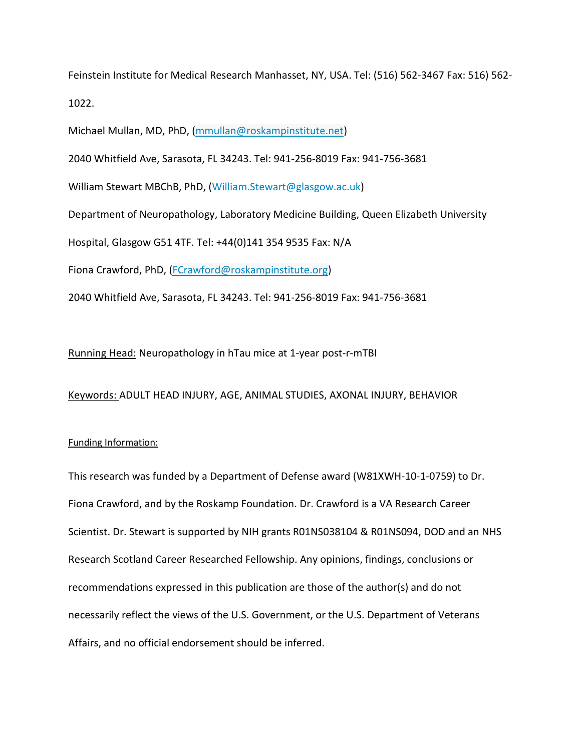Feinstein Institute for Medical Research Manhasset, NY, USA. Tel: (516) 562-3467 Fax: 516) 562- 1022.

Michael Mullan, MD, PhD, [\(mmullan@roskampinstitute.net\)](mailto:mmullan@roskampinstitute.net)

2040 Whitfield Ave, Sarasota, FL 34243. Tel: 941-256-8019 Fax: 941-756-3681

William Stewart MBChB, PhD, [\(William.Stewart@glasgow.ac.uk\)](mailto:William.Stewart@glasgow.ac.uk)

Department of Neuropathology, Laboratory Medicine Building, Queen Elizabeth University

Hospital, Glasgow G51 4TF. Tel: +44(0)141 354 9535 Fax: N/A

Fiona Crawford, PhD, [\(FCrawford@roskampinstitute.org\)](mailto:FCrawford@roskampinstitute.org)

2040 Whitfield Ave, Sarasota, FL 34243. Tel: 941-256-8019 Fax: 941-756-3681

Running Head: Neuropathology in hTau mice at 1-year post-r-mTBI

Keywords: ADULT HEAD INJURY, AGE, ANIMAL STUDIES, AXONAL INJURY, BEHAVIOR

# Funding Information:

This research was funded by a Department of Defense award (W81XWH-10-1-0759) to Dr. Fiona Crawford, and by the Roskamp Foundation. Dr. Crawford is a VA Research Career Scientist. Dr. Stewart is supported by NIH grants R01NS038104 & R01NS094, DOD and an NHS Research Scotland Career Researched Fellowship. Any opinions, findings, conclusions or recommendations expressed in this publication are those of the author(s) and do not necessarily reflect the views of the U.S. Government, or the U.S. Department of Veterans Affairs, and no official endorsement should be inferred.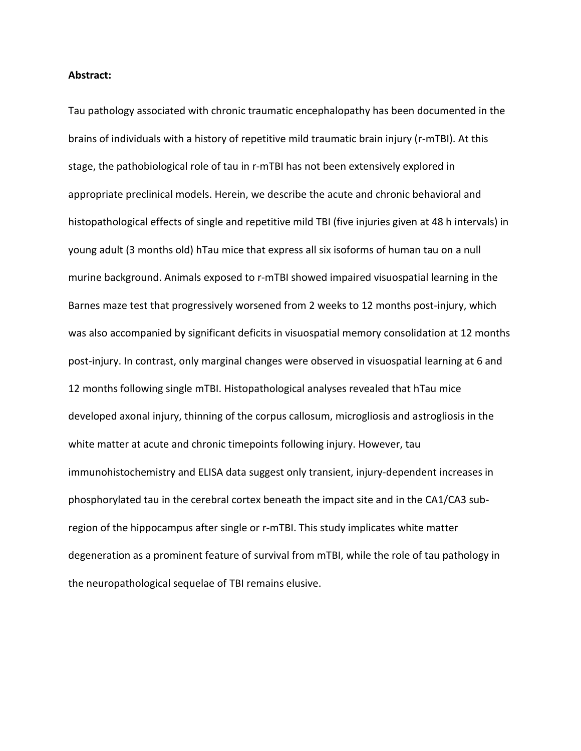### **Abstract:**

Tau pathology associated with chronic traumatic encephalopathy has been documented in the brains of individuals with a history of repetitive mild traumatic brain injury (r-mTBI). At this stage, the pathobiological role of tau in r-mTBI has not been extensively explored in appropriate preclinical models. Herein, we describe the acute and chronic behavioral and histopathological effects of single and repetitive mild TBI (five injuries given at 48 h intervals) in young adult (3 months old) hTau mice that express all six isoforms of human tau on a null murine background. Animals exposed to r-mTBI showed impaired visuospatial learning in the Barnes maze test that progressively worsened from 2 weeks to 12 months post-injury, which was also accompanied by significant deficits in visuospatial memory consolidation at 12 months post-injury. In contrast, only marginal changes were observed in visuospatial learning at 6 and 12 months following single mTBI. Histopathological analyses revealed that hTau mice developed axonal injury, thinning of the corpus callosum, microgliosis and astrogliosis in the white matter at acute and chronic timepoints following injury. However, tau immunohistochemistry and ELISA data suggest only transient, injury-dependent increases in phosphorylated tau in the cerebral cortex beneath the impact site and in the CA1/CA3 subregion of the hippocampus after single or r-mTBI. This study implicates white matter degeneration as a prominent feature of survival from mTBI, while the role of tau pathology in the neuropathological sequelae of TBI remains elusive.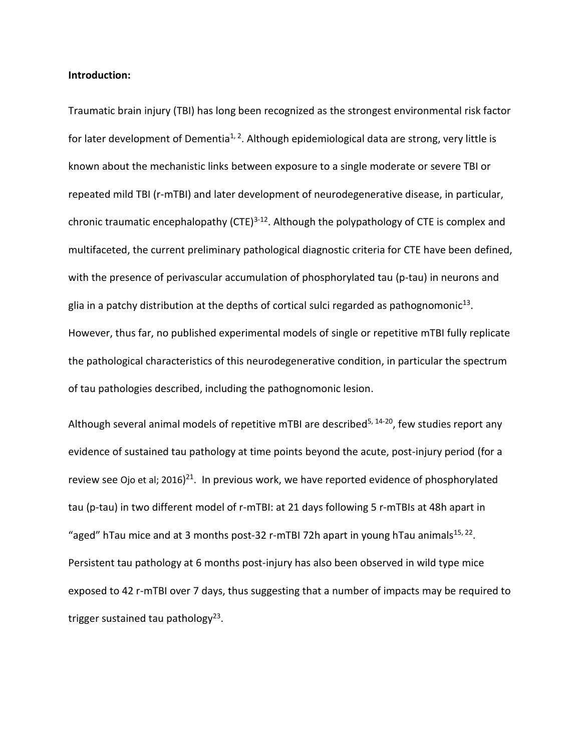### **Introduction:**

Traumatic brain injury (TBI) has long been recognized as the strongest environmental risk factor for later development of Dementia<sup>[1,](#page-23-0) [2](#page-23-1)</sup>. Although epidemiological data are strong, very little is known about the mechanistic links between exposure to a single moderate or severe TBI or repeated mild TBI (r-mTBI) and later development of neurodegenerative disease, in particular, chronic traumatic encephalopathy (CTE)<sup>[3-12](#page-23-2)</sup>. Although the polypathology of CTE is complex and multifaceted, the current preliminary pathological diagnostic criteria for CTE have been defined, with the presence of perivascular accumulation of phosphorylated tau (p-tau) in neurons and glia in a patchy distribution at the depths of cortical sulci regarded as pathognomonic<sup>[13](#page-24-0)</sup>. However, thus far, no published experimental models of single or repetitive mTBI fully replicate the pathological characteristics of this neurodegenerative condition, in particular the spectrum of tau pathologies described, including the pathognomonic lesion.

Although several animal models of repetitive mTBI are described<sup>[5,](#page-24-1) [14-20](#page-24-2)</sup>, few studies report any evidence of sustained tau pathology at time points beyond the acute, post-injury period (for a review see Ojo et al; 2016)<sup>[21](#page-25-0)</sup>. In previous work, we have reported evidence of phosphorylated tau (p-tau) in two different model of r-mTBI: at 21 days following 5 r-mTBIs at 48h apart in "aged" hTau mice and at 3 months post-32 r-mTBI 72h apart in young hTau animals $^{15, 22}$  $^{15, 22}$  $^{15, 22}$  $^{15, 22}$ . Persistent tau pathology at 6 months post-injury has also been observed in wild type mice exposed to 42 r-mTBI over 7 days, thus suggesting that a number of impacts may be required to trigger sustained tau pathology<sup>[23](#page-25-2)</sup>.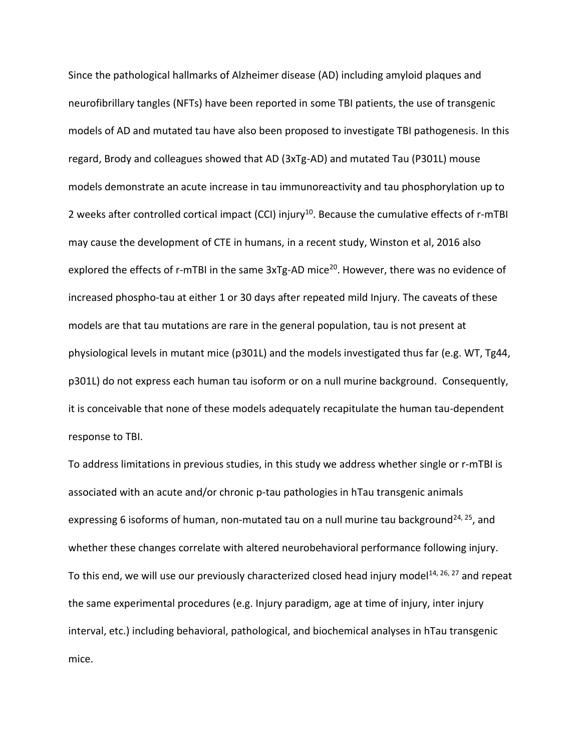Since the pathological hallmarks of Alzheimer disease (AD) including amyloid plaques and neurofibrillary tangles (NFTs) have been reported in some TBI patients, the use of transgenic models of AD and mutated tau have also been proposed to investigate TBI pathogenesis. In this regard, Brody and colleagues showed that AD (3xTg-AD) and mutated Tau (P301L) mouse models demonstrate an acute increase in tau immunoreactivity and tau phosphorylation up to 2 weeks after controlled cortical impact (CCI) injury<sup>[10](#page-24-4)</sup>. Because the cumulative effects of r-mTBI may cause the development of CTE in humans, in a recent study, Winston et al, 2016 also explored the effects of r-mTBI in the same 3xTg-AD mice<sup>[20](#page-25-3)</sup>. However, there was no evidence of increased phospho-tau at either 1 or 30 days after repeated mild Injury. The caveats of these models are that tau mutations are rare in the general population, tau is not present at physiological levels in mutant mice (p301L) and the models investigated thus far (e.g. WT, Tg44, p301L) do not express each human tau isoform or on a null murine background. Consequently, it is conceivable that none of these models adequately recapitulate the human tau-dependent response to TBI.

To address limitations in previous studies, in this study we address whether single or r-mTBI is associated with an acute and/or chronic p-tau pathologies in hTau transgenic animals expressing 6 isoforms of human, non-mutated tau on a null murine tau background<sup>[24,](#page-25-4) [25](#page-25-5)</sup>, and whether these changes correlate with altered neurobehavioral performance following injury. To this end, we will use our previously characterized closed head injury model<sup>[14,](#page-24-2) [26,](#page-25-6) [27](#page-25-7)</sup> and repeat the same experimental procedures (e.g. Injury paradigm, age at time of injury, inter injury interval, etc.) including behavioral, pathological, and biochemical analyses in hTau transgenic mice.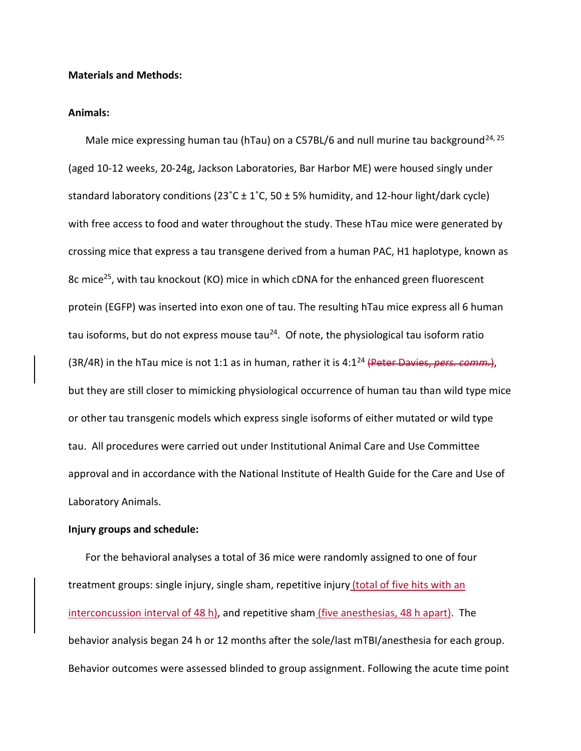#### **Materials and Methods:**

#### **Animals:**

Male mice expressing human tau (hTau) on a C57BL/6 and null murine tau background<sup>[24,](#page-25-4) [25](#page-25-5)</sup> (aged 10-12 weeks, 20-24g, Jackson Laboratories, Bar Harbor ME) were housed singly under standard laboratory conditions  $(23^{\circ}C \pm 1^{\circ}C, 50 \pm 5\%$  humidity, and 12-hour light/dark cycle) with free access to food and water throughout the study. These hTau mice were generated by crossing mice that express a tau transgene derived from a human PAC, H1 haplotype, known as 8c mice<sup>[25](#page-25-5)</sup>, with tau knockout (KO) mice in which cDNA for the enhanced green fluorescent protein (EGFP) was inserted into exon one of tau. The resulting hTau mice express all 6 human tau isoforms, but do not express mouse tau<sup>[24](#page-25-4)</sup>. Of note, the physiological tau isoform ratio (3R/4R) in the hTau mice is not 1:1 as in human, rather it is 4:1<sup>[24](#page-25-4)</sup> (Peter Davies, *pers. comm.*), but they are still closer to mimicking physiological occurrence of human tau than wild type mice or other tau transgenic models which express single isoforms of either mutated or wild type tau. All procedures were carried out under Institutional Animal Care and Use Committee approval and in accordance with the National Institute of Health Guide for the Care and Use of Laboratory Animals.

### **Injury groups and schedule:**

For the behavioral analyses a total of 36 mice were randomly assigned to one of four treatment groups: single injury, single sham, repetitive injury (total of five hits with an interconcussion interval of 48 h), and repetitive sham (five anesthesias, 48 h apart). The behavior analysis began 24 h or 12 months after the sole/last mTBI/anesthesia for each group. Behavior outcomes were assessed blinded to group assignment. Following the acute time point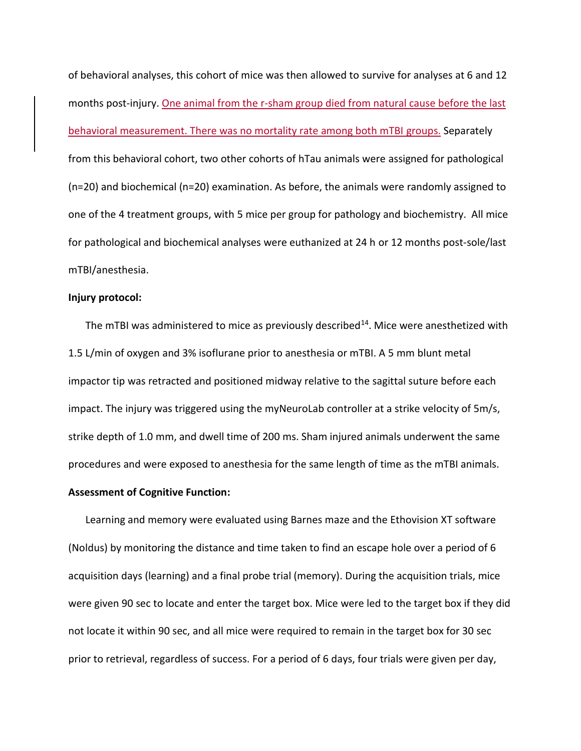of behavioral analyses, this cohort of mice was then allowed to survive for analyses at 6 and 12 months post-injury. One animal from the r-sham group died from natural cause before the last behavioral measurement. There was no mortality rate among both mTBI groups. Separately from this behavioral cohort, two other cohorts of hTau animals were assigned for pathological (n=20) and biochemical (n=20) examination. As before, the animals were randomly assigned to one of the 4 treatment groups, with 5 mice per group for pathology and biochemistry. All mice for pathological and biochemical analyses were euthanized at 24 h or 12 months post-sole/last mTBI/anesthesia.

### **Injury protocol:**

The mTBI was administered to mice as previously described<sup>[14](#page-24-2)</sup>. Mice were anesthetized with 1.5 L/min of oxygen and 3% isoflurane prior to anesthesia or mTBI. A 5 mm blunt metal impactor tip was retracted and positioned midway relative to the sagittal suture before each impact. The injury was triggered using the myNeuroLab controller at a strike velocity of 5m/s, strike depth of 1.0 mm, and dwell time of 200 ms. Sham injured animals underwent the same procedures and were exposed to anesthesia for the same length of time as the mTBI animals.

# **Assessment of Cognitive Function:**

Learning and memory were evaluated using Barnes maze and the Ethovision XT software (Noldus) by monitoring the distance and time taken to find an escape hole over a period of 6 acquisition days (learning) and a final probe trial (memory). During the acquisition trials, mice were given 90 sec to locate and enter the target box. Mice were led to the target box if they did not locate it within 90 sec, and all mice were required to remain in the target box for 30 sec prior to retrieval, regardless of success. For a period of 6 days, four trials were given per day,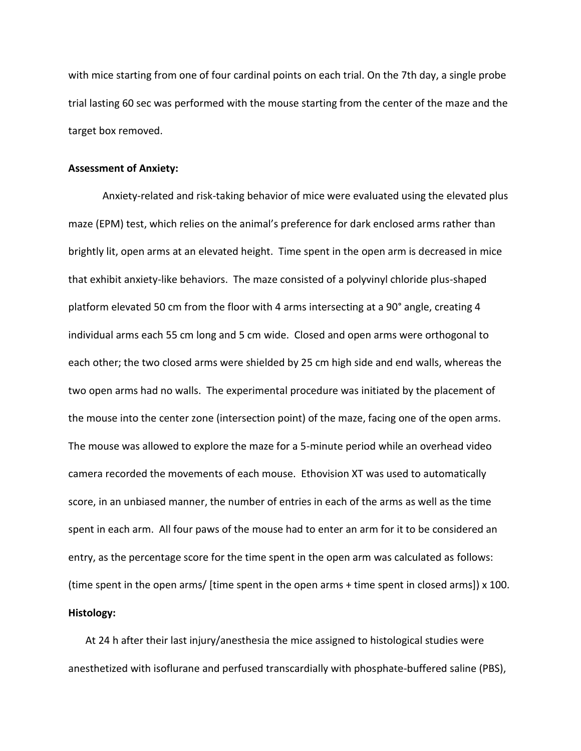with mice starting from one of four cardinal points on each trial. On the 7th day, a single probe trial lasting 60 sec was performed with the mouse starting from the center of the maze and the target box removed.

# **Assessment of Anxiety:**

Anxiety-related and risk-taking behavior of mice were evaluated using the elevated plus maze (EPM) test, which relies on the animal's preference for dark enclosed arms rather than brightly lit, open arms at an elevated height. Time spent in the open arm is decreased in mice that exhibit anxiety-like behaviors. The maze consisted of a polyvinyl chloride plus-shaped platform elevated 50 cm from the floor with 4 arms intersecting at a 90° angle, creating 4 individual arms each 55 cm long and 5 cm wide. Closed and open arms were orthogonal to each other; the two closed arms were shielded by 25 cm high side and end walls, whereas the two open arms had no walls. The experimental procedure was initiated by the placement of the mouse into the center zone (intersection point) of the maze, facing one of the open arms. The mouse was allowed to explore the maze for a 5-minute period while an overhead video camera recorded the movements of each mouse. Ethovision XT was used to automatically score, in an unbiased manner, the number of entries in each of the arms as well as the time spent in each arm. All four paws of the mouse had to enter an arm for it to be considered an entry, as the percentage score for the time spent in the open arm was calculated as follows: (time spent in the open arms/ [time spent in the open arms + time spent in closed arms]) x 100. **Histology:**

At 24 h after their last injury/anesthesia the mice assigned to histological studies were anesthetized with isoflurane and perfused transcardially with phosphate-buffered saline (PBS),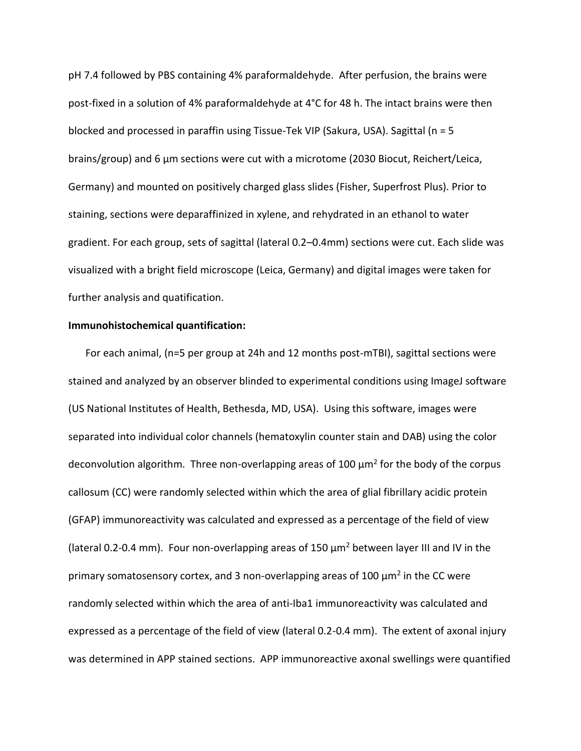pH 7.4 followed by PBS containing 4% paraformaldehyde. After perfusion, the brains were post-fixed in a solution of 4% paraformaldehyde at 4°C for 48 h. The intact brains were then blocked and processed in paraffin using Tissue-Tek VIP (Sakura, USA). Sagittal (n = 5 brains/group) and 6 µm sections were cut with a microtome (2030 Biocut, Reichert/Leica, Germany) and mounted on positively charged glass slides (Fisher, Superfrost Plus). Prior to staining, sections were deparaffinized in xylene, and rehydrated in an ethanol to water gradient. For each group, sets of sagittal (lateral 0.2–0.4mm) sections were cut. Each slide was visualized with a bright field microscope (Leica, Germany) and digital images were taken for further analysis and quatification.

### **Immunohistochemical quantification:**

For each animal, (n=5 per group at 24h and 12 months post-mTBI), sagittal sections were stained and analyzed by an observer blinded to experimental conditions using ImageJ software (US National Institutes of Health, Bethesda, MD, USA). Using this software, images were separated into individual color channels (hematoxylin counter stain and DAB) using the color deconvolution algorithm. Three non-overlapping areas of 100 μm<sup>2</sup> for the body of the corpus callosum (CC) were randomly selected within which the area of glial fibrillary acidic protein (GFAP) immunoreactivity was calculated and expressed as a percentage of the field of view (lateral 0.2-0.4 mm). Four non-overlapping areas of 150  $\mu$ m<sup>2</sup> between layer III and IV in the primary somatosensory cortex, and 3 non-overlapping areas of 100  $\mu$ m<sup>2</sup> in the CC were randomly selected within which the area of anti-Iba1 immunoreactivity was calculated and expressed as a percentage of the field of view (lateral 0.2-0.4 mm). The extent of axonal injury was determined in APP stained sections. APP immunoreactive axonal swellings were quantified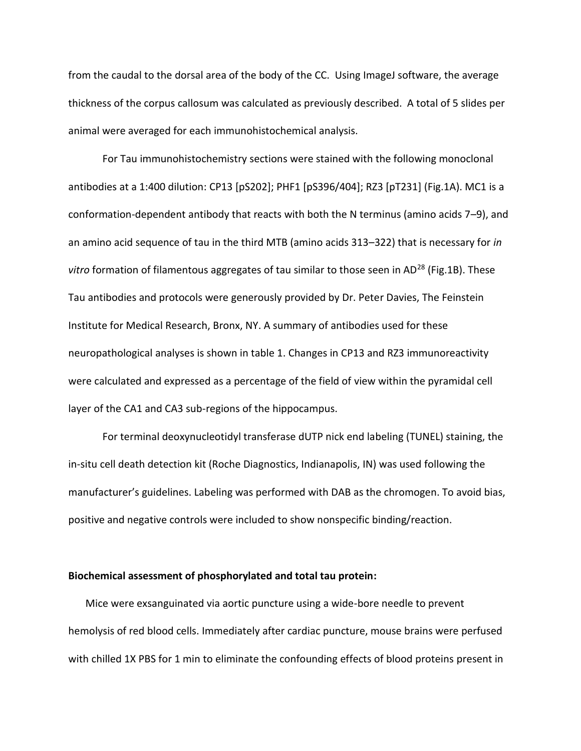from the caudal to the dorsal area of the body of the CC. Using ImageJ software, the average thickness of the corpus callosum was calculated as previously described. A total of 5 slides per animal were averaged for each immunohistochemical analysis.

For Tau immunohistochemistry sections were stained with the following monoclonal antibodies at a 1:400 dilution: CP13 [pS202]; PHF1 [pS396/404]; RZ3 [pT231] (Fig.1A). MC1 is a conformation-dependent antibody that reacts with both the N terminus (amino acids 7–9), and an amino acid sequence of tau in the third MTB (amino acids 313–322) that is necessary for *in*  vitro formation of filamentous aggregates of tau similar to those seen in AD<sup>[28](#page-25-8)</sup> (Fig.1B). These Tau antibodies and protocols were generously provided by Dr. Peter Davies, The Feinstein Institute for Medical Research, Bronx, NY. A summary of antibodies used for these neuropathological analyses is shown in table 1. Changes in CP13 and RZ3 immunoreactivity were calculated and expressed as a percentage of the field of view within the pyramidal cell layer of the CA1 and CA3 sub-regions of the hippocampus.

For terminal deoxynucleotidyl transferase dUTP nick end labeling (TUNEL) staining, the in-situ cell death detection kit (Roche Diagnostics, Indianapolis, IN) was used following the manufacturer's guidelines. Labeling was performed with DAB as the chromogen. To avoid bias, positive and negative controls were included to show nonspecific binding/reaction.

#### **Biochemical assessment of phosphorylated and total tau protein:**

Mice were exsanguinated via aortic puncture using a wide-bore needle to prevent hemolysis of red blood cells. Immediately after cardiac puncture, mouse brains were perfused with chilled 1X PBS for 1 min to eliminate the confounding effects of blood proteins present in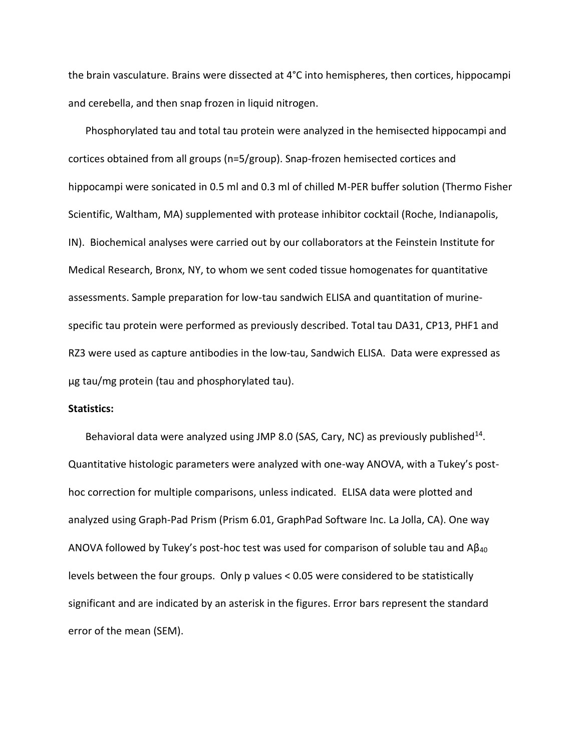the brain vasculature. Brains were dissected at 4°C into hemispheres, then cortices, hippocampi and cerebella, and then snap frozen in liquid nitrogen.

Phosphorylated tau and total tau protein were analyzed in the hemisected hippocampi and cortices obtained from all groups (n=5/group). Snap-frozen hemisected cortices and hippocampi were sonicated in 0.5 ml and 0.3 ml of chilled M-PER buffer solution (Thermo Fisher Scientific, Waltham, MA) supplemented with protease inhibitor cocktail (Roche, Indianapolis, IN). Biochemical analyses were carried out by our collaborators at the Feinstein Institute for Medical Research, Bronx, NY, to whom we sent coded tissue homogenates for quantitative assessments. Sample preparation for low-tau sandwich ELISA and quantitation of murinespecific tau protein were performed as previously described. Total tau DA31, CP13, PHF1 and RZ3 were used as capture antibodies in the low-tau, Sandwich ELISA. Data were expressed as µg tau/mg protein (tau and phosphorylated tau).

# **Statistics:**

Behavioral data were analyzed using JMP 8.0 (SAS, Cary, NC) as previously published<sup>[14](#page-24-2)</sup>. Quantitative histologic parameters were analyzed with one-way ANOVA, with a Tukey's posthoc correction for multiple comparisons, unless indicated. ELISA data were plotted and analyzed using Graph-Pad Prism (Prism 6.01, GraphPad Software Inc. La Jolla, CA). One way ANOVA followed by Tukey's post-hoc test was used for comparison of soluble tau and  $A\beta_{40}$ levels between the four groups. Only p values < 0.05 were considered to be statistically significant and are indicated by an asterisk in the figures. Error bars represent the standard error of the mean (SEM).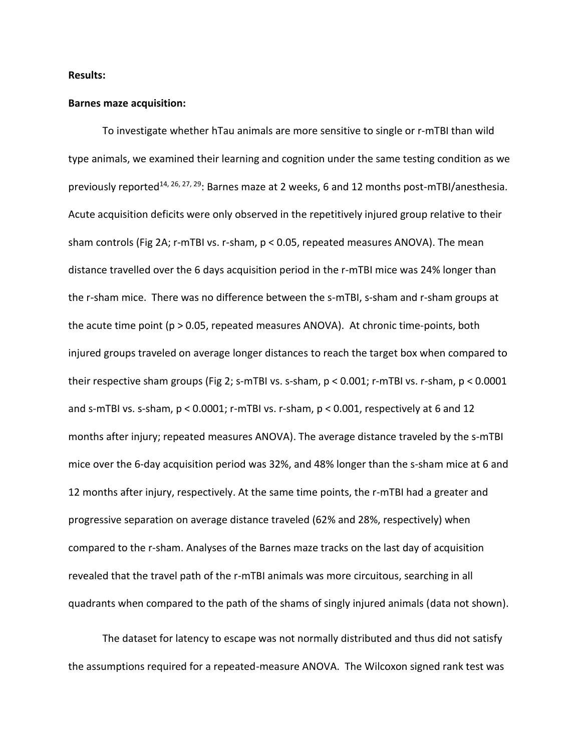# **Results:**

#### **Barnes maze acquisition:**

To investigate whether hTau animals are more sensitive to single or r-mTBI than wild type animals, we examined their learning and cognition under the same testing condition as we previously reported<sup>[14,](#page-24-2) [26,](#page-25-6) [27,](#page-25-7) [29](#page-25-9)</sup>: Barnes maze at 2 weeks, 6 and 12 months post-mTBI/anesthesia. Acute acquisition deficits were only observed in the repetitively injured group relative to their sham controls (Fig 2A; r-mTBI vs. r-sham, p < 0.05, repeated measures ANOVA). The mean distance travelled over the 6 days acquisition period in the r-mTBI mice was 24% longer than the r-sham mice. There was no difference between the s-mTBI, s-sham and r-sham groups at the acute time point (p > 0.05, repeated measures ANOVA). At chronic time-points, both injured groups traveled on average longer distances to reach the target box when compared to their respective sham groups (Fig 2; s-mTBI vs. s-sham, p < 0.001; r-mTBI vs. r-sham, p < 0.0001 and s-mTBI vs. s-sham, p < 0.0001; r-mTBI vs. r-sham, p < 0.001, respectively at 6 and 12 months after injury; repeated measures ANOVA). The average distance traveled by the s-mTBI mice over the 6-day acquisition period was 32%, and 48% longer than the s-sham mice at 6 and 12 months after injury, respectively. At the same time points, the r-mTBI had a greater and progressive separation on average distance traveled (62% and 28%, respectively) when compared to the r-sham. Analyses of the Barnes maze tracks on the last day of acquisition revealed that the travel path of the r-mTBI animals was more circuitous, searching in all quadrants when compared to the path of the shams of singly injured animals (data not shown).

The dataset for latency to escape was not normally distributed and thus did not satisfy the assumptions required for a repeated-measure ANOVA. The Wilcoxon signed rank test was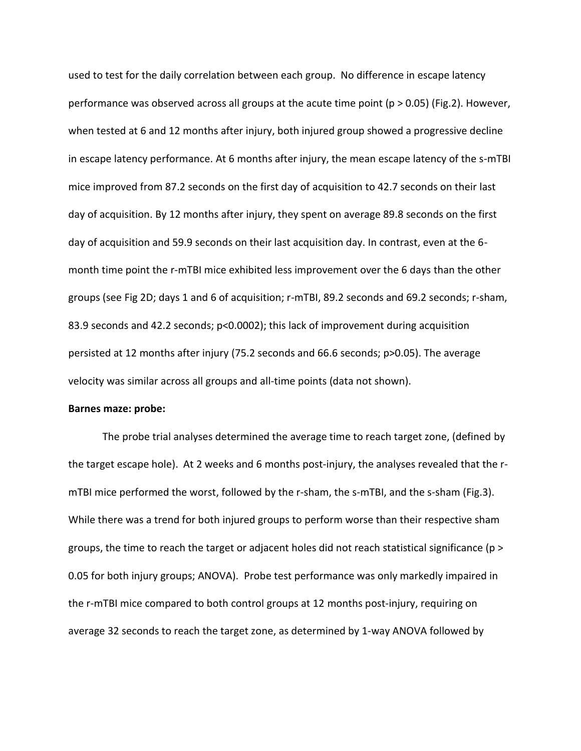used to test for the daily correlation between each group. No difference in escape latency performance was observed across all groups at the acute time point ( $p > 0.05$ ) (Fig.2). However, when tested at 6 and 12 months after injury, both injured group showed a progressive decline in escape latency performance. At 6 months after injury, the mean escape latency of the s-mTBI mice improved from 87.2 seconds on the first day of acquisition to 42.7 seconds on their last day of acquisition. By 12 months after injury, they spent on average 89.8 seconds on the first day of acquisition and 59.9 seconds on their last acquisition day. In contrast, even at the 6 month time point the r-mTBI mice exhibited less improvement over the 6 days than the other groups (see Fig 2D; days 1 and 6 of acquisition; r-mTBI, 89.2 seconds and 69.2 seconds; r-sham, 83.9 seconds and 42.2 seconds; p<0.0002); this lack of improvement during acquisition persisted at 12 months after injury (75.2 seconds and 66.6 seconds; p>0.05). The average velocity was similar across all groups and all-time points (data not shown).

### **Barnes maze: probe:**

The probe trial analyses determined the average time to reach target zone, (defined by the target escape hole). At 2 weeks and 6 months post-injury, the analyses revealed that the rmTBI mice performed the worst, followed by the r-sham, the s-mTBI, and the s-sham (Fig.3). While there was a trend for both injured groups to perform worse than their respective sham groups, the time to reach the target or adjacent holes did not reach statistical significance (p > 0.05 for both injury groups; ANOVA). Probe test performance was only markedly impaired in the r-mTBI mice compared to both control groups at 12 months post-injury, requiring on average 32 seconds to reach the target zone, as determined by 1-way ANOVA followed by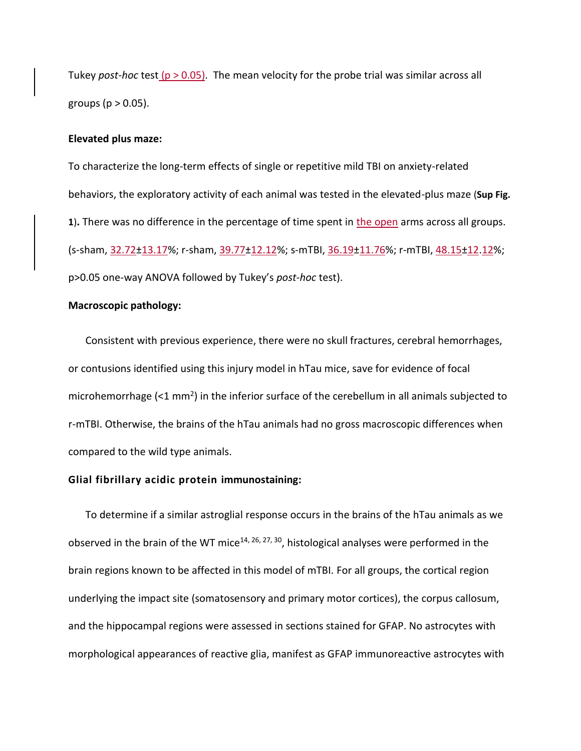Tukey *post-hoc* test (p > 0.05). The mean velocity for the probe trial was similar across all groups ( $p > 0.05$ ).

# **Elevated plus maze:**

To characterize the long-term effects of single or repetitive mild TBI on anxiety-related behaviors, the exploratory activity of each animal was tested in the elevated-plus maze (**Sup Fig. 1**)**.** There was no difference in the percentage of time spent in the open arms across all groups. (s-sham, 32.72±13.17%; r-sham, 39.77±12.12%; s-mTBI, 36.19±11.76%; r-mTBI, 48.15±12.12%; p>0.05 one-way ANOVA followed by Tukey's *post-hoc* test).

### **Macroscopic pathology:**

Consistent with previous experience, there were no skull fractures, cerebral hemorrhages, or contusions identified using this injury model in hTau mice, save for evidence of focal microhemorrhage (<1 mm<sup>2</sup>) in the inferior surface of the cerebellum in all animals subjected to r-mTBI. Otherwise, the brains of the hTau animals had no gross macroscopic differences when compared to the wild type animals.

# **Glial fibrillary acidic protein immunostaining:**

To determine if a similar astroglial response occurs in the brains of the hTau animals as we observed in the brain of the WT mice<sup>[14,](#page-24-2) [26,](#page-25-6) [27,](#page-25-7) [30](#page-25-10)</sup>, histological analyses were performed in the brain regions known to be affected in this model of mTBI. For all groups, the cortical region underlying the impact site (somatosensory and primary motor cortices), the corpus callosum, and the hippocampal regions were assessed in sections stained for GFAP. No astrocytes with morphological appearances of reactive glia, manifest as GFAP immunoreactive astrocytes with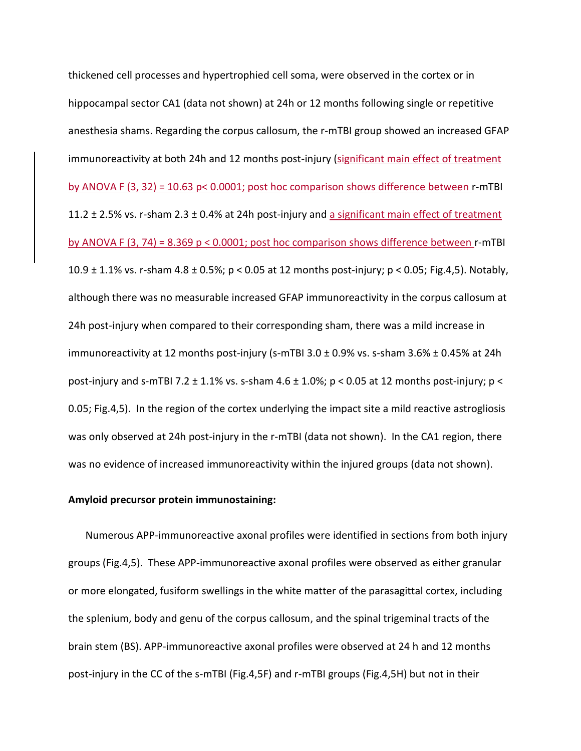thickened cell processes and hypertrophied cell soma, were observed in the cortex or in hippocampal sector CA1 (data not shown) at 24h or 12 months following single or repetitive anesthesia shams. Regarding the corpus callosum, the r-mTBI group showed an increased GFAP immunoreactivity at both 24h and 12 months post-injury (significant main effect of treatment by ANOVA F (3, 32) = 10.63 p< 0.0001; post hoc comparison shows difference between r-mTBI 11.2  $\pm$  2.5% vs. r-sham 2.3  $\pm$  0.4% at 24h post-injury and a significant main effect of treatment by ANOVA F  $(3, 74) = 8.369$  p < 0.0001; post hoc comparison shows difference between r-mTBI 10.9 ± 1.1% vs. r-sham 4.8 ± 0.5%; p < 0.05 at 12 months post-injury; p < 0.05; Fig.4,5). Notably, although there was no measurable increased GFAP immunoreactivity in the corpus callosum at 24h post-injury when compared to their corresponding sham, there was a mild increase in immunoreactivity at 12 months post-injury (s-mTBI 3.0 ± 0.9% vs. s-sham 3.6% ± 0.45% at 24h post-injury and s-mTBI 7.2  $\pm$  1.1% vs. s-sham 4.6  $\pm$  1.0%; p < 0.05 at 12 months post-injury; p < 0.05; Fig.4,5). In the region of the cortex underlying the impact site a mild reactive astrogliosis was only observed at 24h post-injury in the r-mTBI (data not shown). In the CA1 region, there was no evidence of increased immunoreactivity within the injured groups (data not shown).

### **Amyloid precursor protein immunostaining:**

Numerous APP-immunoreactive axonal profiles were identified in sections from both injury groups (Fig.4,5). These APP-immunoreactive axonal profiles were observed as either granular or more elongated, fusiform swellings in the white matter of the parasagittal cortex, including the splenium, body and genu of the corpus callosum, and the spinal trigeminal tracts of the brain stem (BS). APP-immunoreactive axonal profiles were observed at 24 h and 12 months post-injury in the CC of the s-mTBI (Fig.4,5F) and r-mTBI groups (Fig.4,5H) but not in their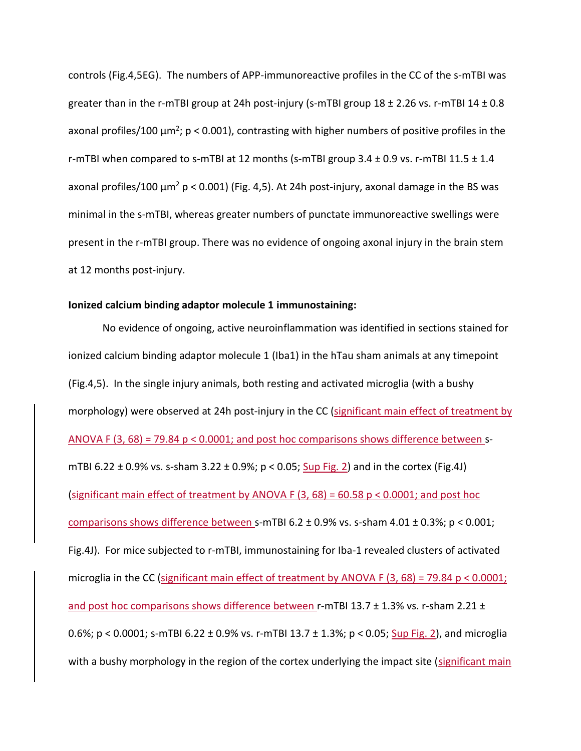controls (Fig.4,5EG). The numbers of APP-immunoreactive profiles in the CC of the s-mTBI was greater than in the r-mTBI group at 24h post-injury (s-mTBI group  $18 \pm 2.26$  vs. r-mTBI  $14 \pm 0.8$ ) axonal profiles/100  $\mu$ m<sup>2</sup>; p < 0.001), contrasting with higher numbers of positive profiles in the r-mTBI when compared to s-mTBI at 12 months (s-mTBI group  $3.4 \pm 0.9$  vs. r-mTBI  $11.5 \pm 1.4$ axonal profiles/100  $\mu$ m<sup>2</sup> p < 0.001) (Fig. 4,5). At 24h post-injury, axonal damage in the BS was minimal in the s-mTBI, whereas greater numbers of punctate immunoreactive swellings were present in the r-mTBI group. There was no evidence of ongoing axonal injury in the brain stem at 12 months post-injury.

### **Ionized calcium binding adaptor molecule 1 immunostaining:**

No evidence of ongoing, active neuroinflammation was identified in sections stained for ionized calcium binding adaptor molecule 1 (Iba1) in the hTau sham animals at any timepoint (Fig.4,5). In the single injury animals, both resting and activated microglia (with a bushy morphology) were observed at 24h post-injury in the CC (significant main effect of treatment by ANOVA F  $(3, 68)$  = 79.84 p < 0.0001; and post hoc comparisons shows difference between smTBI 6.22  $\pm$  0.9% vs. s-sham 3.22  $\pm$  0.9%; p < 0.05; Sup Fig. 2) and in the cortex (Fig.4J) (significant main effect of treatment by ANOVA F  $(3, 68) = 60.58$  p < 0.0001; and post hoc comparisons shows difference between s-mTBI  $6.2 \pm 0.9\%$  vs. s-sham  $4.01 \pm 0.3\%$ ; p < 0.001; Fig.4J). For mice subjected to r-mTBI, immunostaining for Iba-1 revealed clusters of activated microglia in the CC (significant main effect of treatment by ANOVA F  $(3, 68) = 79.84$  p < 0.0001; and post hoc comparisons shows difference between r-mTBI 13.7  $\pm$  1.3% vs. r-sham 2.21  $\pm$ 0.6%;  $p < 0.0001$ ; s-mTBI 6.22 ± 0.9% vs. r-mTBI 13.7 ± 1.3%;  $p < 0.05$ ; Sup Fig. 2), and microglia with a bushy morphology in the region of the cortex underlying the impact site (significant main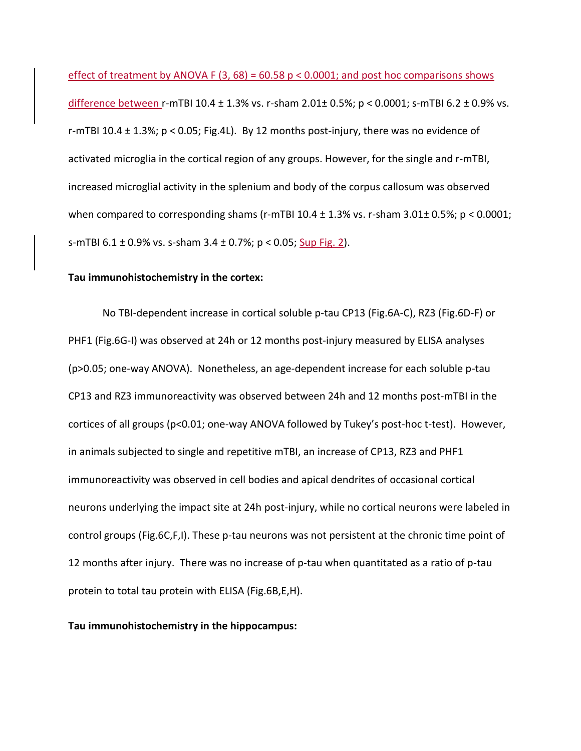effect of treatment by ANOVA F  $(3, 68) = 60.58$  p < 0.0001; and post hoc comparisons shows difference between r-mTBI  $10.4 \pm 1.3\%$  vs. r-sham  $2.01\pm 0.5\%$ ; p < 0.0001; s-mTBI 6.2  $\pm$  0.9% vs. r-mTBI 10.4  $\pm$  1.3%; p < 0.05; Fig.4L). By 12 months post-injury, there was no evidence of activated microglia in the cortical region of any groups. However, for the single and r-mTBI, increased microglial activity in the splenium and body of the corpus callosum was observed when compared to corresponding shams (r-mTBI  $10.4 \pm 1.3\%$  vs. r-sham  $3.01 \pm 0.5\%$ ; p < 0.0001; s-mTBI  $6.1 \pm 0.9\%$  vs. s-sham  $3.4 \pm 0.7\%$ ;  $p < 0.05$ ; Sup Fig. 2).

# **Tau immunohistochemistry in the cortex:**

No TBI-dependent increase in cortical soluble p-tau CP13 (Fig.6A-C), RZ3 (Fig.6D-F) or PHF1 (Fig.6G-I) was observed at 24h or 12 months post-injury measured by ELISA analyses (p>0.05; one-way ANOVA). Nonetheless, an age-dependent increase for each soluble p-tau CP13 and RZ3 immunoreactivity was observed between 24h and 12 months post-mTBI in the cortices of all groups (p<0.01; one-way ANOVA followed by Tukey's post-hoc t-test). However, in animals subjected to single and repetitive mTBI, an increase of CP13, RZ3 and PHF1 immunoreactivity was observed in cell bodies and apical dendrites of occasional cortical neurons underlying the impact site at 24h post-injury, while no cortical neurons were labeled in control groups (Fig.6C,F,I). These p-tau neurons was not persistent at the chronic time point of 12 months after injury. There was no increase of p-tau when quantitated as a ratio of p-tau protein to total tau protein with ELISA (Fig.6B,E,H).

## **Tau immunohistochemistry in the hippocampus:**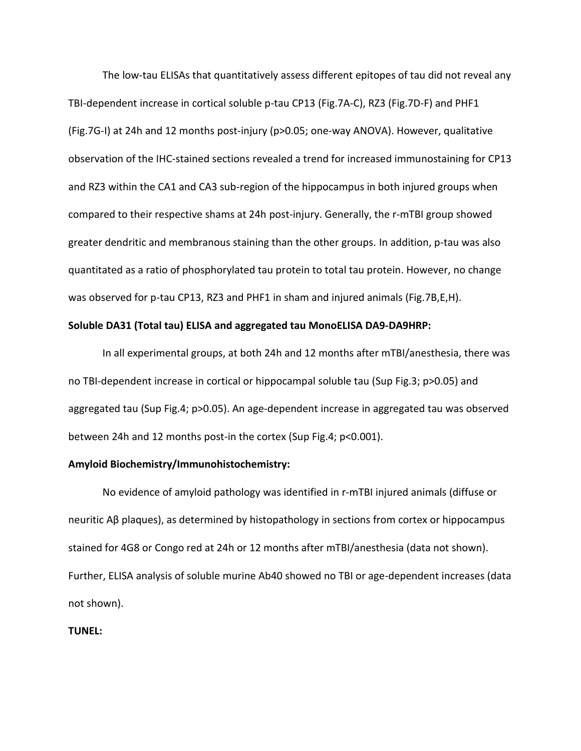The low-tau ELISAs that quantitatively assess different epitopes of tau did not reveal any TBI-dependent increase in cortical soluble p-tau CP13 (Fig.7A-C), RZ3 (Fig.7D-F) and PHF1 (Fig.7G-I) at 24h and 12 months post-injury (p>0.05; one-way ANOVA). However, qualitative observation of the IHC-stained sections revealed a trend for increased immunostaining for CP13 and RZ3 within the CA1 and CA3 sub-region of the hippocampus in both injured groups when compared to their respective shams at 24h post-injury. Generally, the r-mTBI group showed greater dendritic and membranous staining than the other groups. In addition, p-tau was also quantitated as a ratio of phosphorylated tau protein to total tau protein. However, no change was observed for p-tau CP13, RZ3 and PHF1 in sham and injured animals (Fig.7B,E,H).

### **Soluble DA31 (Total tau) ELISA and aggregated tau MonoELISA DA9-DA9HRP:**

In all experimental groups, at both 24h and 12 months after mTBI/anesthesia, there was no TBI-dependent increase in cortical or hippocampal soluble tau (Sup Fig.3; p>0.05) and aggregated tau (Sup Fig.4; p>0.05). An age-dependent increase in aggregated tau was observed between 24h and 12 months post-in the cortex (Sup Fig.4; p<0.001).

# **Amyloid Biochemistry/Immunohistochemistry:**

No evidence of amyloid pathology was identified in r-mTBI injured animals (diffuse or neuritic Aβ plaques), as determined by histopathology in sections from cortex or hippocampus stained for 4G8 or Congo red at 24h or 12 months after mTBI/anesthesia (data not shown). Further, ELISA analysis of soluble murine Ab40 showed no TBI or age-dependent increases (data not shown).

# **TUNEL:**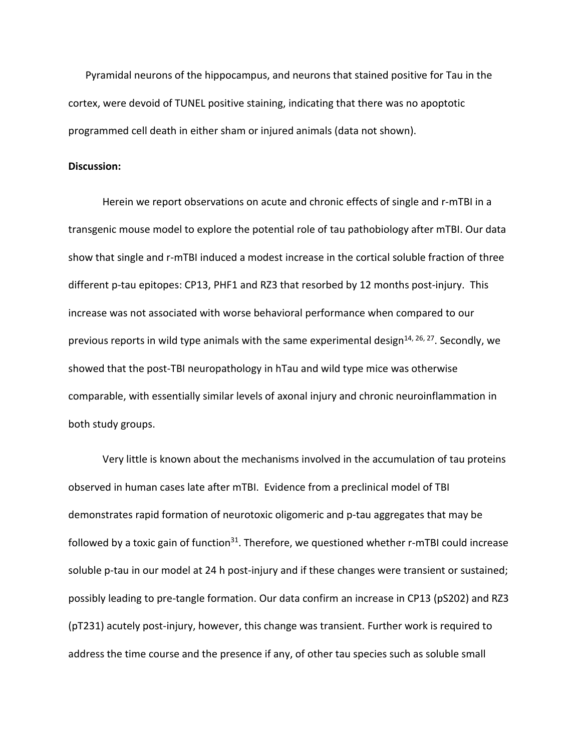Pyramidal neurons of the hippocampus, and neurons that stained positive for Tau in the cortex, were devoid of TUNEL positive staining, indicating that there was no apoptotic programmed cell death in either sham or injured animals (data not shown).

# **Discussion:**

Herein we report observations on acute and chronic effects of single and r-mTBI in a transgenic mouse model to explore the potential role of tau pathobiology after mTBI. Our data show that single and r-mTBI induced a modest increase in the cortical soluble fraction of three different p-tau epitopes: CP13, PHF1 and RZ3 that resorbed by 12 months post-injury. This increase was not associated with worse behavioral performance when compared to our previous reports in wild type animals with the same experimental design<sup>[14,](#page-24-2) [26,](#page-25-6) [27](#page-25-7)</sup>. Secondly, we showed that the post-TBI neuropathology in hTau and wild type mice was otherwise comparable, with essentially similar levels of axonal injury and chronic neuroinflammation in both study groups.

Very little is known about the mechanisms involved in the accumulation of tau proteins observed in human cases late after mTBI. Evidence from a preclinical model of TBI demonstrates rapid formation of neurotoxic oligomeric and p-tau aggregates that may be followed by a toxic gain of function<sup>[31](#page-25-11)</sup>. Therefore, we questioned whether r-mTBI could increase soluble p-tau in our model at 24 h post-injury and if these changes were transient or sustained; possibly leading to pre-tangle formation. Our data confirm an increase in CP13 (pS202) and RZ3 (pT231) acutely post-injury, however, this change was transient. Further work is required to address the time course and the presence if any, of other tau species such as soluble small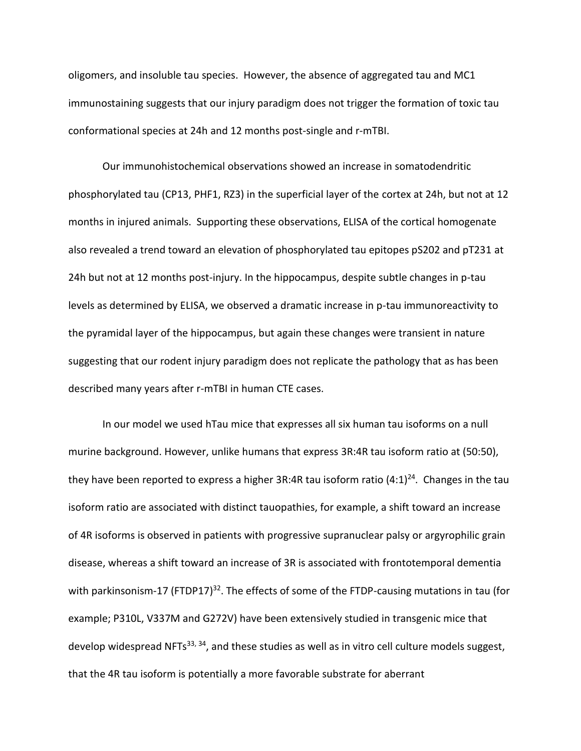oligomers, and insoluble tau species. However, the absence of aggregated tau and MC1 immunostaining suggests that our injury paradigm does not trigger the formation of toxic tau conformational species at 24h and 12 months post-single and r-mTBI.

Our immunohistochemical observations showed an increase in somatodendritic phosphorylated tau (CP13, PHF1, RZ3) in the superficial layer of the cortex at 24h, but not at 12 months in injured animals. Supporting these observations, ELISA of the cortical homogenate also revealed a trend toward an elevation of phosphorylated tau epitopes pS202 and pT231 at 24h but not at 12 months post-injury. In the hippocampus, despite subtle changes in p-tau levels as determined by ELISA, we observed a dramatic increase in p-tau immunoreactivity to the pyramidal layer of the hippocampus, but again these changes were transient in nature suggesting that our rodent injury paradigm does not replicate the pathology that as has been described many years after r-mTBI in human CTE cases.

In our model we used hTau mice that expresses all six human tau isoforms on a null murine background. However, unlike humans that express 3R:4R tau isoform ratio at (50:50), they have been reported to express a higher 3R:4R tau isoform ratio  $(4:1)^{24}$  $(4:1)^{24}$  $(4:1)^{24}$ [.](#page-25-4) Changes in the tau isoform ratio are associated with distinct tauopathies, for example, a shift toward an increase of 4R isoforms is observed in patients with progressive supranuclear palsy or argyrophilic grain disease, whereas a shift toward an increase of 3R is associated with frontotemporal dementia with parkinsonism-17 (FTDP17)<sup>[32](#page-25-12)</sup>. The effects of some of the FTDP-causing mutations in tau (for example; P310L, V337M and G272V) have been extensively studied in transgenic mice that develop widespread NFTs<sup>[33,](#page-26-0) [34](#page-26-1)</sup>, and these studies as well as in vitro cell culture models suggest, that the 4R tau isoform is potentially a more favorable substrate for aberrant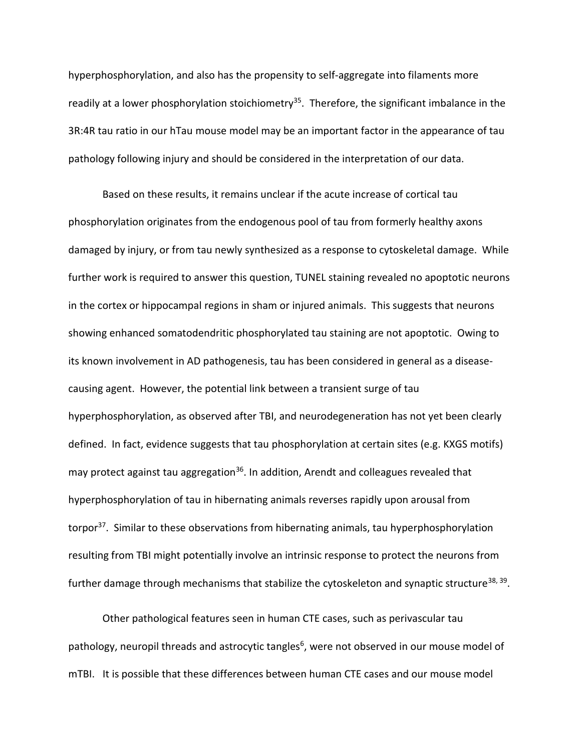hyperphosphorylation, and also has the propensity to self-aggregate into filaments more readily at a lower phosphorylation stoichiometry<sup>[35](#page-26-2)</sup>. Therefore, the significant imbalance in the 3R:4R tau ratio in our hTau mouse model may be an important factor in the appearance of tau pathology following injury and should be considered in the interpretation of our data.

Based on these results, it remains unclear if the acute increase of cortical tau phosphorylation originates from the endogenous pool of tau from formerly healthy axons damaged by injury, or from tau newly synthesized as a response to cytoskeletal damage. While further work is required to answer this question, TUNEL staining revealed no apoptotic neurons in the cortex or hippocampal regions in sham or injured animals. This suggests that neurons showing enhanced somatodendritic phosphorylated tau staining are not apoptotic. Owing to its known involvement in AD pathogenesis, tau has been considered in general as a diseasecausing agent. However, the potential link between a transient surge of tau hyperphosphorylation, as observed after TBI, and neurodegeneration has not yet been clearly defined. In fact, evidence suggests that tau phosphorylation at certain sites (e.g. KXGS motifs) may protect against tau aggregation<sup>[36](#page-26-3)</sup>. In addition, Arendt and colleagues revealed that hyperphosphorylation of tau in hibernating animals reverses rapidly upon arousal from torpor<sup>[37](#page-26-4)</sup>. Similar to these observations from hibernating animals, tau hyperphosphorylation resulting from TBI might potentially involve an intrinsic response to protect the neurons from further damage through mechanisms that stabilize the cytoskeleton and synaptic structure<sup>[38,](#page-26-5) [39](#page-26-6)</sup>.

Other pathological features seen in human CTE cases, such as perivascular tau pathology, neuropil threads and astrocytic tangles<sup>[6](#page-24-5)</sup>, were not observed in our mouse model of mTBI. It is possible that these differences between human CTE cases and our mouse model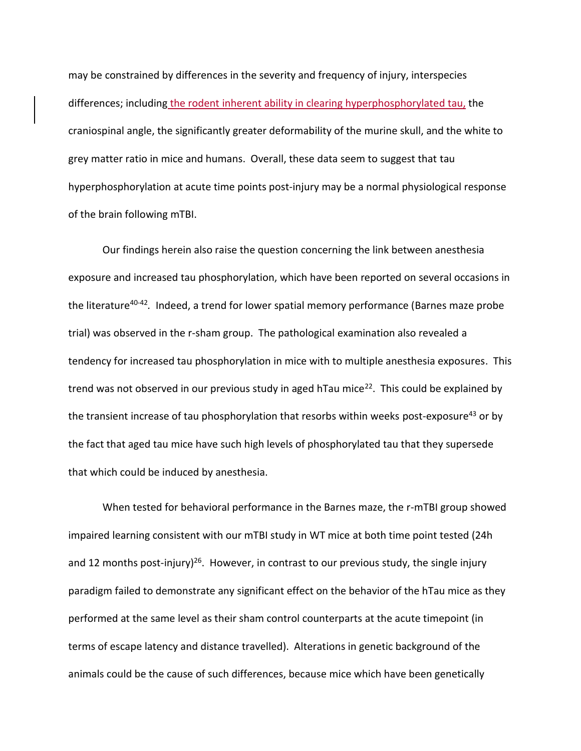may be constrained by differences in the severity and frequency of injury, interspecies differences; including the rodent inherent ability in clearing hyperphosphorylated tau, the craniospinal angle, the significantly greater deformability of the murine skull, and the white to grey matter ratio in mice and humans. Overall, these data seem to suggest that tau hyperphosphorylation at acute time points post-injury may be a normal physiological response of the brain following mTBI.

Our findings herein also raise the question concerning the link between anesthesia exposure and increased tau phosphorylation, which have been reported on several occasions in the literature<sup>[40-42](#page-26-7)</sup>. Indeed, a trend for lower spatial memory performance (Barnes maze probe trial) was observed in the r-sham group. The pathological examination also revealed a tendency for increased tau phosphorylation in mice with to multiple anesthesia exposures. This trend was not observed in our previous study in aged hTau mice<sup>[22](#page-25-1)</sup>. This could be explained by the transient increase of tau phosphorylation that resorbs within weeks post-exposure<sup>[43](#page-26-8)</sup> or by the fact that aged tau mice have such high levels of phosphorylated tau that they supersede that which could be induced by anesthesia.

When tested for behavioral performance in the Barnes maze, the r-mTBI group showed impaired learning consistent with our mTBI study in WT mice at both time point tested (24h and 12 months post-injury)<sup>[26](#page-25-6)</sup>. However, in contrast to our previous study, the single injury paradigm failed to demonstrate any significant effect on the behavior of the hTau mice as they performed at the same level as their sham control counterparts at the acute timepoint (in terms of escape latency and distance travelled). Alterations in genetic background of the animals could be the cause of such differences, because mice which have been genetically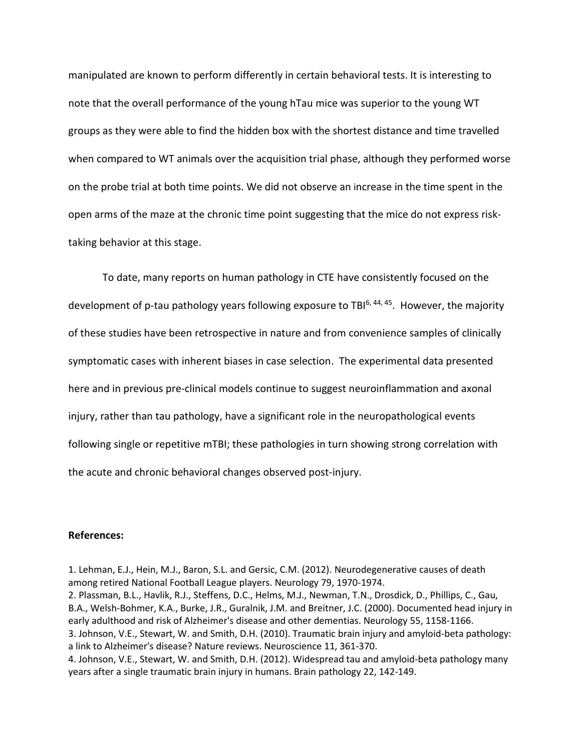manipulated are known to perform differently in certain behavioral tests. It is interesting to note that the overall performance of the young hTau mice was superior to the young WT groups as they were able to find the hidden box with the shortest distance and time travelled when compared to WT animals over the acquisition trial phase, although they performed worse on the probe trial at both time points. We did not observe an increase in the time spent in the open arms of the maze at the chronic time point suggesting that the mice do not express risktaking behavior at this stage.

To date, many reports on human pathology in CTE have consistently focused on the development of p-tau pathology years following exposure to TBI<sup>[6,](#page-24-5) [44,](#page-26-9) [45](#page-26-10)</sup>. However, the majority of these studies have been retrospective in nature and from convenience samples of clinically symptomatic cases with inherent biases in case selection. The experimental data presented here and in previous pre-clinical models continue to suggest neuroinflammation and axonal injury, rather than tau pathology, have a significant role in the neuropathological events following single or repetitive mTBI; these pathologies in turn showing strong correlation with the acute and chronic behavioral changes observed post-injury.

#### **References:**

<span id="page-23-2"></span><span id="page-23-1"></span><span id="page-23-0"></span>1. Lehman, E.J., Hein, M.J., Baron, S.L. and Gersic, C.M. (2012). Neurodegenerative causes of death among retired National Football League players. Neurology 79, 1970-1974. 2. Plassman, B.L., Havlik, R.J., Steffens, D.C., Helms, M.J., Newman, T.N., Drosdick, D., Phillips, C., Gau, B.A., Welsh-Bohmer, K.A., Burke, J.R., Guralnik, J.M. and Breitner, J.C. (2000). Documented head injury in early adulthood and risk of Alzheimer's disease and other dementias. Neurology 55, 1158-1166. 3. Johnson, V.E., Stewart, W. and Smith, D.H. (2010). Traumatic brain injury and amyloid-beta pathology: a link to Alzheimer's disease? Nature reviews. Neuroscience 11, 361-370. 4. Johnson, V.E., Stewart, W. and Smith, D.H. (2012). Widespread tau and amyloid-beta pathology many years after a single traumatic brain injury in humans. Brain pathology 22, 142-149.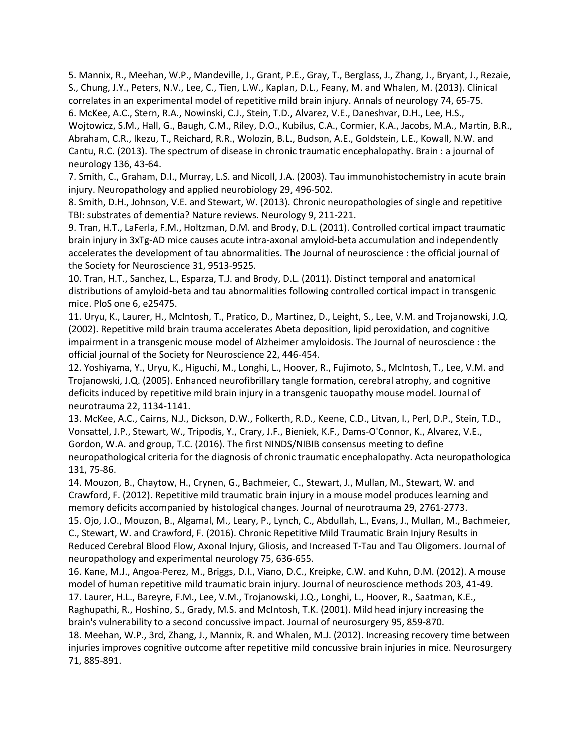<span id="page-24-5"></span><span id="page-24-1"></span>5. Mannix, R., Meehan, W.P., Mandeville, J., Grant, P.E., Gray, T., Berglass, J., Zhang, J., Bryant, J., Rezaie, S., Chung, J.Y., Peters, N.V., Lee, C., Tien, L.W., Kaplan, D.L., Feany, M. and Whalen, M. (2013). Clinical correlates in an experimental model of repetitive mild brain injury. Annals of neurology 74, 65-75. 6. McKee, A.C., Stern, R.A., Nowinski, C.J., Stein, T.D., Alvarez, V.E., Daneshvar, D.H., Lee, H.S., Wojtowicz, S.M., Hall, G., Baugh, C.M., Riley, D.O., Kubilus, C.A., Cormier, K.A., Jacobs, M.A., Martin, B.R., Abraham, C.R., Ikezu, T., Reichard, R.R., Wolozin, B.L., Budson, A.E., Goldstein, L.E., Kowall, N.W. and Cantu, R.C. (2013). The spectrum of disease in chronic traumatic encephalopathy. Brain : a journal of neurology 136, 43-64.

7. Smith, C., Graham, D.I., Murray, L.S. and Nicoll, J.A. (2003). Tau immunohistochemistry in acute brain injury. Neuropathology and applied neurobiology 29, 496-502.

8. Smith, D.H., Johnson, V.E. and Stewart, W. (2013). Chronic neuropathologies of single and repetitive TBI: substrates of dementia? Nature reviews. Neurology 9, 211-221.

9. Tran, H.T., LaFerla, F.M., Holtzman, D.M. and Brody, D.L. (2011). Controlled cortical impact traumatic brain injury in 3xTg-AD mice causes acute intra-axonal amyloid-beta accumulation and independently accelerates the development of tau abnormalities. The Journal of neuroscience : the official journal of the Society for Neuroscience 31, 9513-9525.

<span id="page-24-4"></span>10. Tran, H.T., Sanchez, L., Esparza, T.J. and Brody, D.L. (2011). Distinct temporal and anatomical distributions of amyloid-beta and tau abnormalities following controlled cortical impact in transgenic mice. PloS one 6, e25475.

11. Uryu, K., Laurer, H., McIntosh, T., Pratico, D., Martinez, D., Leight, S., Lee, V.M. and Trojanowski, J.Q. (2002). Repetitive mild brain trauma accelerates Abeta deposition, lipid peroxidation, and cognitive impairment in a transgenic mouse model of Alzheimer amyloidosis. The Journal of neuroscience : the official journal of the Society for Neuroscience 22, 446-454.

12. Yoshiyama, Y., Uryu, K., Higuchi, M., Longhi, L., Hoover, R., Fujimoto, S., McIntosh, T., Lee, V.M. and Trojanowski, J.Q. (2005). Enhanced neurofibrillary tangle formation, cerebral atrophy, and cognitive deficits induced by repetitive mild brain injury in a transgenic tauopathy mouse model. Journal of neurotrauma 22, 1134-1141.

<span id="page-24-0"></span>13. McKee, A.C., Cairns, N.J., Dickson, D.W., Folkerth, R.D., Keene, C.D., Litvan, I., Perl, D.P., Stein, T.D., Vonsattel, J.P., Stewart, W., Tripodis, Y., Crary, J.F., Bieniek, K.F., Dams-O'Connor, K., Alvarez, V.E., Gordon, W.A. and group, T.C. (2016). The first NINDS/NIBIB consensus meeting to define neuropathological criteria for the diagnosis of chronic traumatic encephalopathy. Acta neuropathologica 131, 75-86.

<span id="page-24-2"></span>14. Mouzon, B., Chaytow, H., Crynen, G., Bachmeier, C., Stewart, J., Mullan, M., Stewart, W. and Crawford, F. (2012). Repetitive mild traumatic brain injury in a mouse model produces learning and memory deficits accompanied by histological changes. Journal of neurotrauma 29, 2761-2773. 15. Ojo, J.O., Mouzon, B., Algamal, M., Leary, P., Lynch, C., Abdullah, L., Evans, J., Mullan, M., Bachmeier,

<span id="page-24-3"></span>C., Stewart, W. and Crawford, F. (2016). Chronic Repetitive Mild Traumatic Brain Injury Results in Reduced Cerebral Blood Flow, Axonal Injury, Gliosis, and Increased T-Tau and Tau Oligomers. Journal of neuropathology and experimental neurology 75, 636-655.

16. Kane, M.J., Angoa-Perez, M., Briggs, D.I., Viano, D.C., Kreipke, C.W. and Kuhn, D.M. (2012). A mouse model of human repetitive mild traumatic brain injury. Journal of neuroscience methods 203, 41-49. 17. Laurer, H.L., Bareyre, F.M., Lee, V.M., Trojanowski, J.Q., Longhi, L., Hoover, R., Saatman, K.E., Raghupathi, R., Hoshino, S., Grady, M.S. and McIntosh, T.K. (2001). Mild head injury increasing the brain's vulnerability to a second concussive impact. Journal of neurosurgery 95, 859-870.

18. Meehan, W.P., 3rd, Zhang, J., Mannix, R. and Whalen, M.J. (2012). Increasing recovery time between injuries improves cognitive outcome after repetitive mild concussive brain injuries in mice. Neurosurgery 71, 885-891.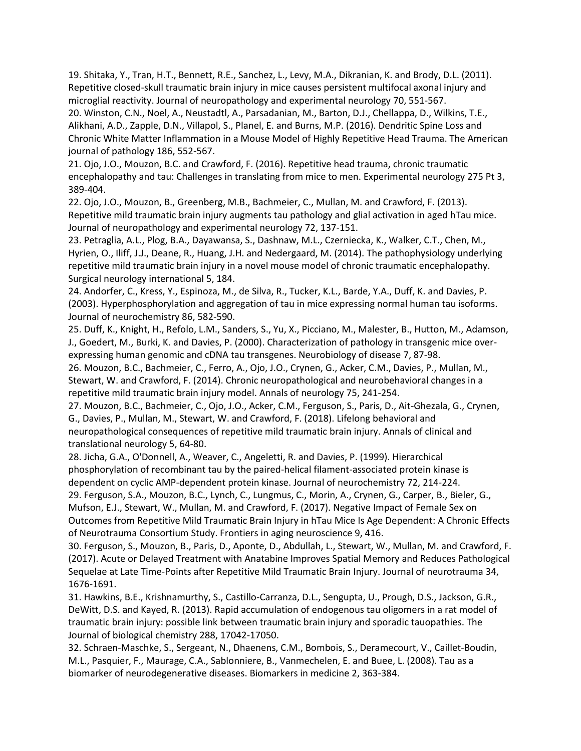19. Shitaka, Y., Tran, H.T., Bennett, R.E., Sanchez, L., Levy, M.A., Dikranian, K. and Brody, D.L. (2011). Repetitive closed-skull traumatic brain injury in mice causes persistent multifocal axonal injury and microglial reactivity. Journal of neuropathology and experimental neurology 70, 551-567.

<span id="page-25-3"></span>20. Winston, C.N., Noel, A., Neustadtl, A., Parsadanian, M., Barton, D.J., Chellappa, D., Wilkins, T.E., Alikhani, A.D., Zapple, D.N., Villapol, S., Planel, E. and Burns, M.P. (2016). Dendritic Spine Loss and Chronic White Matter Inflammation in a Mouse Model of Highly Repetitive Head Trauma. The American journal of pathology 186, 552-567.

<span id="page-25-0"></span>21. Ojo, J.O., Mouzon, B.C. and Crawford, F. (2016). Repetitive head trauma, chronic traumatic encephalopathy and tau: Challenges in translating from mice to men. Experimental neurology 275 Pt 3, 389-404.

<span id="page-25-1"></span>22. Ojo, J.O., Mouzon, B., Greenberg, M.B., Bachmeier, C., Mullan, M. and Crawford, F. (2013). Repetitive mild traumatic brain injury augments tau pathology and glial activation in aged hTau mice. Journal of neuropathology and experimental neurology 72, 137-151.

<span id="page-25-2"></span>23. Petraglia, A.L., Plog, B.A., Dayawansa, S., Dashnaw, M.L., Czerniecka, K., Walker, C.T., Chen, M., Hyrien, O., Iliff, J.J., Deane, R., Huang, J.H. and Nedergaard, M. (2014). The pathophysiology underlying repetitive mild traumatic brain injury in a novel mouse model of chronic traumatic encephalopathy. Surgical neurology international 5, 184.

<span id="page-25-4"></span>24. Andorfer, C., Kress, Y., Espinoza, M., de Silva, R., Tucker, K.L., Barde, Y.A., Duff, K. and Davies, P. (2003). Hyperphosphorylation and aggregation of tau in mice expressing normal human tau isoforms. Journal of neurochemistry 86, 582-590.

<span id="page-25-5"></span>25. Duff, K., Knight, H., Refolo, L.M., Sanders, S., Yu, X., Picciano, M., Malester, B., Hutton, M., Adamson, J., Goedert, M., Burki, K. and Davies, P. (2000). Characterization of pathology in transgenic mice overexpressing human genomic and cDNA tau transgenes. Neurobiology of disease 7, 87-98.

<span id="page-25-6"></span>26. Mouzon, B.C., Bachmeier, C., Ferro, A., Ojo, J.O., Crynen, G., Acker, C.M., Davies, P., Mullan, M., Stewart, W. and Crawford, F. (2014). Chronic neuropathological and neurobehavioral changes in a repetitive mild traumatic brain injury model. Annals of neurology 75, 241-254.

<span id="page-25-7"></span>27. Mouzon, B.C., Bachmeier, C., Ojo, J.O., Acker, C.M., Ferguson, S., Paris, D., Ait-Ghezala, G., Crynen, G., Davies, P., Mullan, M., Stewart, W. and Crawford, F. (2018). Lifelong behavioral and neuropathological consequences of repetitive mild traumatic brain injury. Annals of clinical and translational neurology 5, 64-80.

<span id="page-25-8"></span>28. Jicha, G.A., O'Donnell, A., Weaver, C., Angeletti, R. and Davies, P. (1999). Hierarchical phosphorylation of recombinant tau by the paired-helical filament-associated protein kinase is dependent on cyclic AMP-dependent protein kinase. Journal of neurochemistry 72, 214-224.

<span id="page-25-9"></span>29. Ferguson, S.A., Mouzon, B.C., Lynch, C., Lungmus, C., Morin, A., Crynen, G., Carper, B., Bieler, G., Mufson, E.J., Stewart, W., Mullan, M. and Crawford, F. (2017). Negative Impact of Female Sex on Outcomes from Repetitive Mild Traumatic Brain Injury in hTau Mice Is Age Dependent: A Chronic Effects of Neurotrauma Consortium Study. Frontiers in aging neuroscience 9, 416.

<span id="page-25-10"></span>30. Ferguson, S., Mouzon, B., Paris, D., Aponte, D., Abdullah, L., Stewart, W., Mullan, M. and Crawford, F. (2017). Acute or Delayed Treatment with Anatabine Improves Spatial Memory and Reduces Pathological Sequelae at Late Time-Points after Repetitive Mild Traumatic Brain Injury. Journal of neurotrauma 34, 1676-1691.

<span id="page-25-11"></span>31. Hawkins, B.E., Krishnamurthy, S., Castillo-Carranza, D.L., Sengupta, U., Prough, D.S., Jackson, G.R., DeWitt, D.S. and Kayed, R. (2013). Rapid accumulation of endogenous tau oligomers in a rat model of traumatic brain injury: possible link between traumatic brain injury and sporadic tauopathies. The Journal of biological chemistry 288, 17042-17050.

<span id="page-25-12"></span>32. Schraen-Maschke, S., Sergeant, N., Dhaenens, C.M., Bombois, S., Deramecourt, V., Caillet-Boudin, M.L., Pasquier, F., Maurage, C.A., Sablonniere, B., Vanmechelen, E. and Buee, L. (2008). Tau as a biomarker of neurodegenerative diseases. Biomarkers in medicine 2, 363-384.